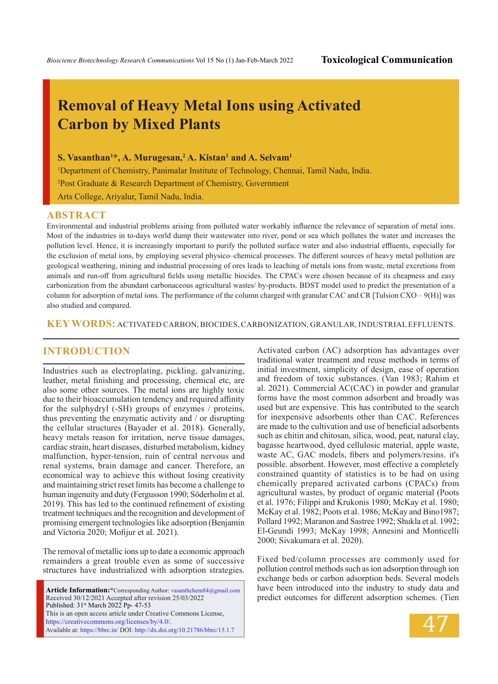# **Removal of Heavy Metal Ions using Activated Carbon by Mixed Plants**

 $\mathbf{S}.$  Vasanthan<sup>1\*</sup>, A. Murugesan,<sup>2</sup> A. Kistan<sup>1</sup> and A. Selvam<sup>1</sup>

1 Department of Chemistry, Panimalar Institute of Technology, Chennai, Tamil Nadu, India.

2 Post Graduate & Research Department of Chemistry, Government

Arts College, Ariyalur, Tamil Nadu, India.

#### **ABSTRACT**

Environmental and industrial problems arising from polluted water workably influence the relevance of separation of metal ions. Most of the industries in to-days world dump their wastewater into river, pond or sea which pollutes the water and increases the pollution level. Hence, it is increasingly important to purify the polluted surface water and also industrial effluents, especially for the exclusion of metal ions, by employing several physico–chemical processes. The different sources of heavy metal pollution are geological weathering, mining and industrial processing of ores leads to leaching of metals ions from waste, metal excretions from animals and run-off from agricultural fields using metallic biocides. The CPACs were chosen because of its cheapness and easy carbonization from the abundant carbonaceous agricultural wastes/ by-products. BDST model used to predict the presentation of a column for adsorption of metal ions. The performance of the column charged with granular CAC and CR [Tulsion CXO – 9(H)] was also studied and compared.

**KEY WORDS:** ACTIVATED CARBON, BIOCIDES, CARBONIZATION, GRANULAR, INDUSTRIAL EFFLUENTS.

### **INTRODUCTION**

Industries such as electroplating, pickling, galvanizing, leather, metal finishing and processing, chemical etc, are also some other sources. The metal ions are highly toxic due to their bioaccumulation tendency and required affinity for the sulphydryl (-SH) groups of enzymes / proteins, thus preventing the enzymatic activity and / or disrupting the cellular structures (Bayader et al. 2018). Generally, heavy metals reason for irritation, nerve tissue damages, cardiac strain, heart diseases, disturbed metabolism, kidney malfunction, hyper-tension, ruin of central nervous and renal systems, brain damage and cancer. Therefore, an economical way to achieve this without losing creativity and maintaining strict reset limits has become a challenge to human ingenuity and duty (Fergusson 1990; Söderholm et al. 2019). This has led to the continued refinement of existing treatment techniques and the recognition and development of promising emergent technologies like adsorption (Benjamin and Victoria 2020; Mofijur et al. 2021).

The removal of metallic ions up to date a economic approach remainders a great trouble even as some of successive structures have industrialized with adsorption strategies.

**Article Information:\***Corresponding Author: vasanthchem84@gmail.com Received 30/12/2021 Accepted after revision 25/03/2022 Published: 31st March 2022 Pp- 47-53 This is an open access article under Creative Commons License, https://creativecommons.org/licenses/by/4.0/. Available at: https://bbrc.in/ DOI: http://dx.doi.org/10.21786/bbrc/15.1.7

Activated carbon (AC) adsorption has advantages over traditional water treatment and reuse methods in terms of initial investment, simplicity of design, ease of operation and freedom of toxic substances. (Van 1983; Rahim et al. 2021). Commercial AC(CAC) in powder and granular forms have the most common adsorbent and broadly was used but are expensive. This has contributed to the search for inexpensive adsorbents other than CAC. References are made to the cultivation and use of beneficial adsorbents such as chitin and chitosan, silica, wood, peat, natural clay, bagasse heartwood, dyed cellulosic material, apple waste, waste AC, GAC models, fibers and polymers/resins. it's possible. absorbent. However, most effective a completely constrained quantity of statistics is to be had on using chemically prepared activated carbons (CPACs) from agricultural wastes, by product of organic material (Poots et al. 1976; Filippi and Krukonis 1980; McKay et al. 1980; McKay et al. 1982; Poots et al. 1986; McKay and Bino1987; Pollard 1992; Maranon and Sastree 1992; Shukla et al. 1992; El-Geundi 1993; McKay 1998; Annesini and Monticelli 2000; Sivakumara et al. 2020).

Fixed bed/column processes are commonly used for pollution control methods such as ion adsorption through ion exchange beds or carbon adsorption beds. Several models have been introduced into the industry to study data and predict outcomes for different adsorption schemes. (Tien

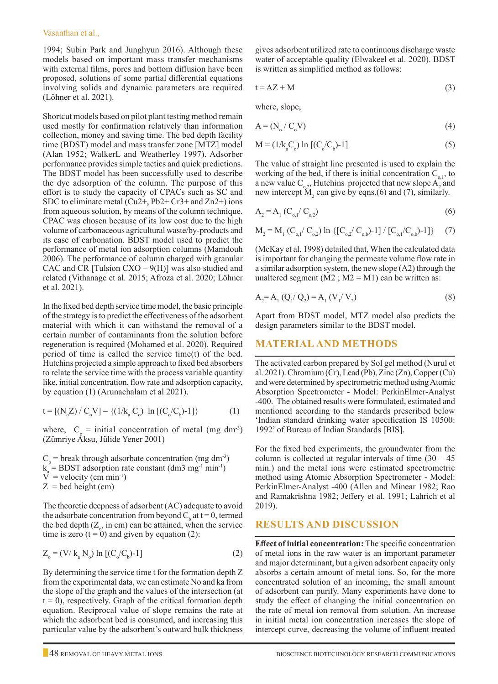1994; Subin Park and Junghyun 2016). Although these models based on important mass transfer mechanisms with external films, pores and bottom diffusion have been proposed, solutions of some partial differential equations involving solids and dynamic parameters are required (Löhner et al. 2021).

Shortcut models based on pilot plant testing method remain used mostly for confirmation relatively than information collection, money and saving time. The bed depth facility time (BDST) model and mass transfer zone [MTZ] model (Alan 1952; WalkerL and Weatherley 1997). Adsorber performance provides simple tactics and quick predictions. The BDST model has been successfully used to describe the dye adsorption of the column. The purpose of this effort is to study the capacity of CPACs such as SC and SDC to eliminate metal  $(Cu2+$ ,  $Pb2+Cr3+$  and  $Zn2+)$  ions from aqueous solution, by means of the column technique. CPAC was chosen because of its low cost due to the high volume of carbonaceous agricultural waste/by-products and its ease of carbonation. BDST model used to predict the performance of metal ion adsorption columns (Mamdouh 2006). The performance of column charged with granular CAC and CR [Tulsion  $\text{CXO} - 9(\text{H})$ ] was also studied and related (Vithanage et al. 2015; Afroza et al. 2020; Löhner et al. 2021).

In the fixed bed depth service time model, the basic principle of the strategy is to predict the effectiveness of the adsorbent material with which it can withstand the removal of a certain number of contaminants from the solution before regeneration is required (Mohamed et al. 2020). Required period of time is called the service time(t) of the bed. Hutchins projected a simple approach to fixed bed absorbers to relate the service time with the process variable quantity like, initial concentration, flow rate and adsorption capacity, by equation (1) (Arunachalam et al 2021).

$$
t = [(N_o Z) / C_o V] - \{(1/k_a C_o) \ln [(C_o/C_b) - 1]\}
$$
 (1)

where,  $C_0$  = initial concentration of metal (mg dm<sup>-3</sup>) (Zümriye Aksu, Jülide Yener 2001)

 $C_b$  = break through adsorbate concentration (mg dm<sup>-3</sup>)  $k_a = \text{BDST}$  adsorption rate constant  $(\text{dm3 mg}^{-1} \text{ min}^{-1})$  $V^*$  = velocity (cm min<sup>-1</sup>)  $Z =$  bed height (cm)

The theoretic deepness of adsorbent (AC) adequate to avoid the adsorbate concentration from beyond  $C_b$  at t = 0, termed the bed depth  $(Z_{\circ})$  in cm) can be attained, when the service time is zero  $(t = 0)$  and given by equation (2):

$$
Z_o = (V / k_a N_o) \ln [(C_o / C_b) - 1]
$$
 (2)

By determining the service time t for the formation depth Z from the experimental data, we can estimate No and ka from the slope of the graph and the values of the intersection (at  $t = 0$ ), respectively. Graph of the critical formation depth equation. Reciprocal value of slope remains the rate at which the adsorbent bed is consumed, and increasing this particular value by the adsorbent's outward bulk thickness

gives adsorbent utilized rate to continuous discharge waste water of acceptable quality (Elwakeel et al. 2020). BDST is written as simplified method as follows:

$$
t = AZ + M \tag{3}
$$

where, slope,

$$
A = (N_o / C_o V) \tag{4}
$$

$$
M = (1/k_a^C) \ln [(C_o/C_b) - 1]
$$
 (5)

The value of straight line presented is used to explain the working of the bed, if there is initial concentration  $C_{o,1}$ , to a new value  $C_{0,2}$ . Hutchins projected that new slope  $A_2$  and new intercept  $\mathbf{\tilde{M}}_2$  can give by eqns.(6) and (7), similarly.

$$
A_2 = A_1 (C_{o,1} / C_{o,2})
$$
 (6)

$$
M_2 = M_1 (C_{o,1} / C_{o,2}) \ln \{ [C_{o,2} / C_{o,b}) - 1 ] / [C_{o,1} / C_{o,b}) - 1 ] \}
$$
 (7)

(McKay et al. 1998) detailed that, When the calculated data is important for changing the permeate volume flow rate in a similar adsorption system, the new slope (A2) through the unaltered segment  $(M2; M2 = M1)$  can be written as:

$$
A_2 = A_1 (Q_1 / Q_2) = A_1 (V_1 / V_2)
$$
\n(8)

Apart from BDST model, MTZ model also predicts the design parameters similar to the BDST model.

#### **MATERIAL AND METHODS**

The activated carbon prepared by Sol gel method (Nurul et al. 2021). Chromium (Cr), Lead (Pb), Zinc (Zn), Copper (Cu) and were determined by spectrometric method using Atomic Absorption Spectrometer - Model: PerkinElmer-Analyst -400. The obtained results were formulated, estimated and mentioned according to the standards prescribed below 'Indian standard drinking water specification IS 10500: 1992' of Bureau of Indian Standards [BIS].

For the fixed bed experiments, the groundwater from the column is collected at regular intervals of time  $(30 - 45)$ min.) and the metal ions were estimated spectrometric method using Atomic Absorption Spectrometer - Model: PerkinElmer-Analyst -400 (Allen and Minear 1982; Rao and Ramakrishna 1982; Jeffery et al. 1991; Lahrich et al 2019).

#### **RESULTS AND DISCUSSION**

**Effect of initial concentration:** The specific concentration of metal ions in the raw water is an important parameter and major determinant, but a given adsorbent capacity only absorbs a certain amount of metal ions. So, for the more concentrated solution of an incoming, the small amount of adsorbent can purify. Many experiments have done to study the effect of changing the initial concentration on the rate of metal ion removal from solution. An increase in initial metal ion concentration increases the slope of intercept curve, decreasing the volume of influent treated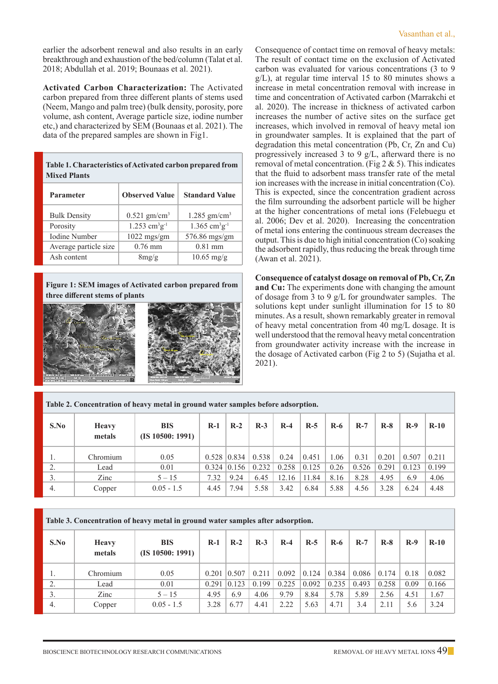earlier the adsorbent renewal and also results in an early breakthrough and exhaustion of the bed/column (Talat et al. 2018; Abdullah et al. 2019; Bounaas et al. 2021).

**Activated Carbon Characterization:** The Activated carbon prepared from three different plants of stems used (Neem, Mango and palm tree) (bulk density, porosity, pore volume, ash content, Average particle size, iodine number etc,) and characterized by SEM (Bounaas et al. 2021). The data of the prepared samples are shown in Fig1.

| Table 1. Characteristics of Activated carbon prepared from<br><b>Mixed Plants</b> |                                         |                                         |  |  |  |  |
|-----------------------------------------------------------------------------------|-----------------------------------------|-----------------------------------------|--|--|--|--|
| <b>Parameter</b>                                                                  | <b>Observed Value</b>                   | <b>Standard Value</b>                   |  |  |  |  |
| <b>Bulk Density</b>                                                               | $0.521$ gm/cm <sup>3</sup>              | $1.285$ gm/cm <sup>3</sup>              |  |  |  |  |
| Porosity                                                                          | $1.253$ cm <sup>3</sup> g <sup>-1</sup> | $1.365$ cm <sup>3</sup> g <sup>-1</sup> |  |  |  |  |
| <b>Iodine Number</b>                                                              | $1022$ mgs/gm                           | $576.86$ mgs/gm                         |  |  |  |  |
| Average particle size                                                             | $0.76$ mm                               | $0.81$ mm                               |  |  |  |  |
| Ash content                                                                       | 8mg/g                                   | $10.65$ mg/g                            |  |  |  |  |

**Figure 1: SEM images of Activated carbon prepared from three different stems of plants**



Consequence of contact time on removal of heavy metals: The result of contact time on the exclusion of Activated carbon was evaluated for various concentrations (3 to 9 g/L), at regular time interval 15 to 80 minutes shows a increase in metal concentration removal with increase in time and concentration of Activated carbon (Marrakchi et al. 2020). The increase in thickness of activated carbon increases the number of active sites on the surface get increases, which involved in removal of heavy metal ion in groundwater samples. It is explained that the part of degradation this metal concentration (Pb, Cr, Zn and Cu) progressively increased 3 to 9 g/L, afterward there is no removal of metal concentration. (Fig  $2 \& 5$ ). This indicates that the fluid to adsorbent mass transfer rate of the metal ion increases with the increase in initial concentration (Co). This is expected, since the concentration gradient across the film surrounding the adsorbent particle will be higher at the higher concentrations of metal ions (Felebuegu et al. 2006; Dev et al. 2020). Increasing the concentration of metal ions entering the continuous stream decreases the output. This is due to high initial concentration (Co) soaking the adsorbent rapidly, thus reducing the break through time (Awan et al. 2021).

**Consequence of catalyst dosage on removal of Pb, Cr, Zn and Cu:** The experiments done with changing the amount of dosage from 3 to 9 g/L for groundwater samples. The solutions kept under sunlight illumination for 15 to 80 minutes. As a result, shown remarkably greater in removal of heavy metal concentration from 40 mg/L dosage. It is well understood that the removal heavy metal concentration from groundwater activity increase with the increase in the dosage of Activated carbon (Fig 2 to 5) (Sujatha et al. 2021).

| Table 2. Concentration of heavy metal in ground water samples before adsorption. |                        |                                |       |       |       |       |       |       |       |       |       |        |
|----------------------------------------------------------------------------------|------------------------|--------------------------------|-------|-------|-------|-------|-------|-------|-------|-------|-------|--------|
| S.No                                                                             | <b>Heavy</b><br>metals | <b>BIS</b><br>(IS 10500: 1991) | $R-1$ | $R-2$ | $R-3$ | $R-4$ | $R-5$ | $R-6$ | $R-7$ | $R-8$ | $R-9$ | $R-10$ |
| 1.                                                                               | Chromium               | 0.05                           | 0.528 | 0.834 | 0.538 | 0.24  | 0.451 | 1.06  | 0.31  | 0.201 | 0.507 | 0.211  |
| 2.                                                                               | Lead                   | 0.01                           | 0.324 | 0.156 | 0.232 | 0.258 | 0.125 | 0.26  | 0.526 | 0.291 | 0.123 | 0.199  |
| 3.                                                                               | Zinc                   | $5 - 15$                       | 7.32  | 9.24  | 6.45  | 12.16 | 11.84 | 8.16  | 8.28  | 4.95  | 6.9   | 4.06   |
| 4.                                                                               | Copper                 | $0.05 - 1.5$                   | 4.45  | 7.94  | 5.58  | 3.42  | 6.84  | 5.88  | 4.56  | 3.28  | 6.24  | 4.48   |

| Table 3. Concentration of heavy metal in ground water samples after adsorption. |                        |                                |       |       |       |       |       |       |       |       |       |        |
|---------------------------------------------------------------------------------|------------------------|--------------------------------|-------|-------|-------|-------|-------|-------|-------|-------|-------|--------|
| S.No                                                                            | <b>Heavy</b><br>metals | <b>BIS</b><br>(IS 10500: 1991) | $R-1$ | $R-2$ | $R-3$ | $R-4$ | $R-5$ | $R-6$ | $R-7$ | $R-8$ | $R-9$ | $R-10$ |
|                                                                                 | Chromium               | 0.05                           | 0.201 | 0.507 | 0.211 | 0.092 | 0.124 | 0.384 | 0.086 | 0.174 | 0.18  | 0.082  |
| 2.                                                                              | Lead                   | 0.01                           | 0.291 | 0.123 | 0.199 | 0.225 | 0.092 | 0.235 | 0.493 | 0.258 | 0.09  | 0.166  |
|                                                                                 | Zinc                   | $5 - 15$                       | 4.95  | 6.9   | 4.06  | 9.79  | 8.84  | 5.78  | 5.89  | 2.56  | 4.51  | 1.67   |
| 4.                                                                              | Copper                 | $0.05 - 1.5$                   | 3.28  | 6.77  | 4.41  | 2.22  | 5.63  | 4.71  | 3.4   | 2.11  | 5.6   | 3.24   |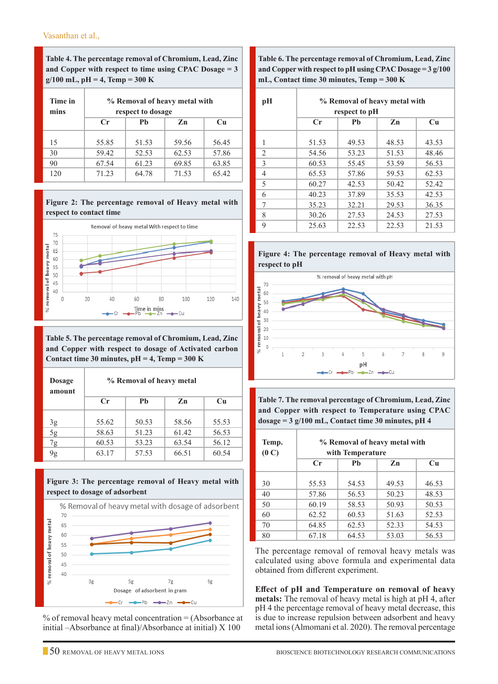**Table 4. The percentage removal of Chromium, Lead, Zinc and Copper with respect to time using CPAC Dosage = 3 g/100 mL, pH = 4, Temp = 300 K**

| Time in<br>mins | % Removal of heavy metal with<br>respect to dosage |       |       |       |  |  |  |
|-----------------|----------------------------------------------------|-------|-------|-------|--|--|--|
|                 | $C_{\mathbf{r}}$                                   | Ph    | Zn    | Cu    |  |  |  |
| 15              | 55.85                                              | 51.53 | 59.56 | 56.45 |  |  |  |
| 30              | 59.42                                              | 52.53 | 62.53 | 57.86 |  |  |  |
| 90              | 67.54                                              | 61.23 | 69.85 | 63.85 |  |  |  |
| 120             | 71.23                                              | 64.78 | 71.53 | 65.42 |  |  |  |





**Table 5. The percentage removal of Chromium, Lead, Zinc and Copper with respect to dosage of Activated carbon Contact time 30 minutes, pH = 4, Temp = 300 K**

| <b>Dosage</b><br>amount | % Removal of heavy metal |       |       |       |  |  |  |
|-------------------------|--------------------------|-------|-------|-------|--|--|--|
|                         | $C_{\mathbf{r}}$         | Ph    | Zn    | Cu    |  |  |  |
| 3g                      | 55.62                    | 50.53 | 58.56 | 55.53 |  |  |  |
| $\overline{5g}$         | 58.63                    | 51.23 | 61.42 | 56.53 |  |  |  |
| 7g                      | 60.53                    | 53.23 | 63.54 | 56.12 |  |  |  |
| 9g                      | 63.17                    | 57.53 | 66.51 | 60.54 |  |  |  |





% of removal heavy metal concentration = (Absorbance at initial –Absorbance at final)/Absorbance at initial) X 100

**Table 6. The percentage removal of Chromium, Lead, Zinc and Copper with respect to pH using CPAC Dosage = 3 g/100 mL, Contact time 30 minutes, Temp = 300 K**

| pH             | % Removal of heavy metal with<br>respect to pH |       |                |       |  |  |  |
|----------------|------------------------------------------------|-------|----------------|-------|--|--|--|
|                | Cr                                             | Ph    | Z <sub>n</sub> | Cu    |  |  |  |
| 1              | 51.53                                          | 49.53 | 48.53          | 43.53 |  |  |  |
| $\overline{2}$ | 54.56                                          | 53.23 | 51.53          | 48.46 |  |  |  |
| 3              | 60.53                                          | 55.45 | 53.59          | 56.53 |  |  |  |
| 4              | 65.53                                          | 57.86 | 59.53          | 62.53 |  |  |  |
| 5              | 60.27                                          | 42.53 | 50.42          | 52.42 |  |  |  |
| 6              | 40.23                                          | 37.89 | 35.53          | 42.53 |  |  |  |
| 7              | 35.23                                          | 32.21 | 29.53          | 36.35 |  |  |  |
| 8              | 30.26                                          | 27.53 | 24.53          | 27.53 |  |  |  |
| 9              | 25.63                                          | 22.53 | 22.53          | 21.53 |  |  |  |





**Table 7. The removal percentage of Chromium, Lead, Zinc and Copper with respect to Temperature using CPAC dosage = 3 g/100 mL, Contact time 30 minutes, pH 4**

| Temp.<br>(0 C) | % Removal of heavy metal with<br>with Temperature |                |       |       |  |  |  |  |
|----------------|---------------------------------------------------|----------------|-------|-------|--|--|--|--|
|                | Cr                                                | Ph<br>Cu<br>Zn |       |       |  |  |  |  |
| 30             | 55.53                                             | 54.53          | 49.53 | 46.53 |  |  |  |  |
| 40             | 57.86                                             | 56.53          | 50.23 | 48.53 |  |  |  |  |
| 50             | 60.19                                             | 58.53          | 50.93 | 50.53 |  |  |  |  |
| 60             | 62.52                                             | 60.53          | 51.63 | 52.53 |  |  |  |  |
| 70             | 64.85                                             | 62.53          | 52.33 | 54.53 |  |  |  |  |
| 80             | 67.18                                             | 64.53          | 53.03 | 56.53 |  |  |  |  |

The percentage removal of removal heavy metals was calculated using above formula and experimental data obtained from different experiment.

**Effect of pH and Temperature on removal of heavy metals:** The removal of heavy metal is high at pH 4, after pH 4 the percentage removal of heavy metal decrease, this is due to increase repulsion between adsorbent and heavy metal ions (Almomani et al. 2020). The removal percentage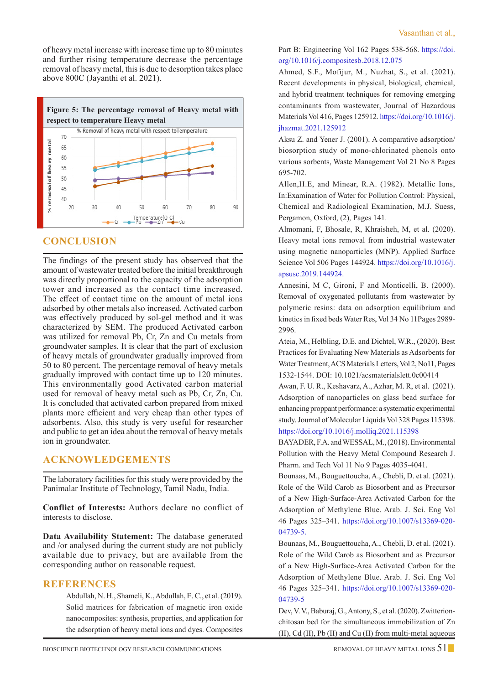of heavy metal increase with increase time up to 80 minutes and further rising temperature decrease the percentage removal of heavy metal, this is due to desorption takes place above 800C (Jayanthi et al. 2021).



# **CONCLUSION**

The findings of the present study has observed that the amount of wastewater treated before the initial breakthrough was directly proportional to the capacity of the adsorption tower and increased as the contact time increased. The effect of contact time on the amount of metal ions adsorbed by other metals also increased. Activated carbon was effectively produced by sol-gel method and it was characterized by SEM. The produced Activated carbon was utilized for removal Pb, Cr, Zn and Cu metals from groundwater samples. It is clear that the part of exclusion of heavy metals of groundwater gradually improved from 50 to 80 percent. The percentage removal of heavy metals gradually improved with contact time up to 120 minutes. This environmentally good Activated carbon material used for removal of heavy metal such as Pb, Cr, Zn, Cu. It is concluded that activated carbon prepared from mixed plants more efficient and very cheap than other types of adsorbents. Also, this study is very useful for researcher and public to get an idea about the removal of heavy metals ion in groundwater.

## **ACKNOWLEDGEMENTS**

The laboratory facilities for this study were provided by the Panimalar Institute of Technology, Tamil Nadu, India.

**Conflict of Interests:** Authors declare no conflict of interests to disclose.

**Data Availability Statement:** The database generated and /or analysed during the current study are not publicly available due to privacy, but are available from the corresponding author on reasonable request.

## **References**

Abdullah, N. H., Shameli, K., Abdullah, E. C., et al. (2019). Solid matrices for fabrication of magnetic iron oxide nanocomposites: synthesis, properties, and application for the adsorption of heavy metal ions and dyes. Composites Part B: Engineering Vol 162 Pages 538-568. https://doi. org/10.1016/j.compositesb.2018.12.075

Ahmed, S.F., Mofijur, M., Nuzhat, S., et al. (2021). Recent developments in physical, biological, chemical, and hybrid treatment techniques for removing emerging contaminants from wastewater, Journal of Hazardous Materials Vol 416, Pages 125912. https://doi.org/10.1016/j. jhazmat.2021.125912

Aksu Z. and Yener J. (2001). A comparative adsorption/ biosorption study of mono-chlorinated phenols onto various sorbents, Waste Management Vol 21 No 8 Pages 695-702.

Allen,H.E, and Minear, R.A. (1982). Metallic Ions, In:Examination of Water for Pollution Control: Physical, Chemical and Radiological Examination, M.J. Suess, Pergamon, Oxford, (2), Pages 141.

Almomani, F, Bhosale, R, Khraisheh, M, et al. (2020). Heavy metal ions removal from industrial wastewater using magnetic nanoparticles (MNP). Applied Surface Science Vol 506 Pages 144924. https://doi.org/10.1016/j. apsusc.2019.144924.

Annesini, M C, Gironi, F and Monticelli, B. (2000). Removal of oxygenated pollutants from wastewater by polymeric resins: data on adsorption equilibrium and kinetics in fixed beds Water Res, Vol 34 No 11Pages 2989- 2996.

Ateia, M., Helbling, D.E. and Dichtel, W.R., (2020). Best Practices for Evaluating New Materials as Adsorbents for Water Treatment, ACS Materials Letters, Vol 2, No11, Pages 1532-1544. DOI: 10.1021/acsmaterialslett.0c00414

Awan, F. U. R., Keshavarz, A., Azhar, M. R, et al. (2021). Adsorption of nanoparticles on glass bead surface for enhancing proppant performance: a systematic experimental study. Journal of Molecular Liquids Vol 328 Pages 115398. https://doi.org/10.1016/j.molliq.2021.115398

BAYADER, F.A. and WESSAL, M., (2018). Environmental Pollution with the Heavy Metal Compound Research J. Pharm. and Tech Vol 11 No 9 Pages 4035-4041.

Bounaas, M., Bouguettoucha, A., Chebli, D. et al. (2021). Role of the Wild Carob as Biosorbent and as Precursor of a New High-Surface-Area Activated Carbon for the Adsorption of Methylene Blue. Arab. J. Sci. Eng Vol 46 Pages 325–341. https://doi.org/10.1007/s13369-020- 04739-5.

Bounaas, M., Bouguettoucha, A., Chebli, D. et al. (2021). Role of the Wild Carob as Biosorbent and as Precursor of a New High-Surface-Area Activated Carbon for the Adsorption of Methylene Blue. Arab. J. Sci. Eng Vol 46 Pages 325–341. https://doi.org/10.1007/s13369-020- 04739-5

Dev, V. V., Baburaj, G., Antony, S., et al. (2020). Zwitterionchitosan bed for the simultaneous immobilization of Zn (II), Cd (II), Pb (II) and Cu (II) from multi-metal aqueous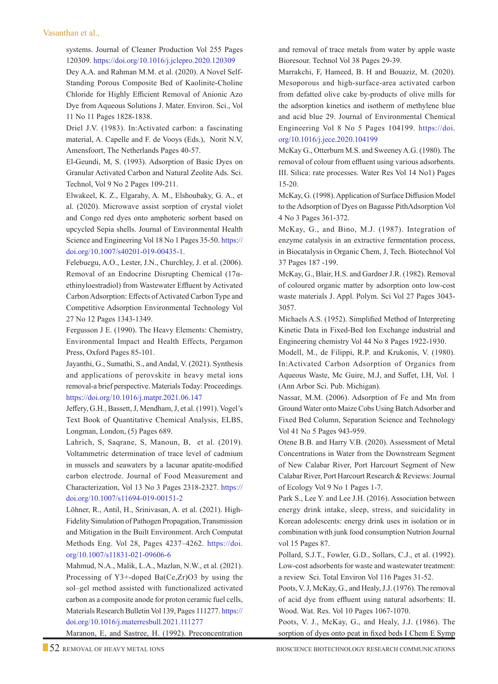#### Vasanthan et al.,

systems. Journal of Cleaner Production Vol 255 Pages 120309. https://doi.org/10.1016/j.jclepro.2020.120309

Dey A.A. and Rahman M.M. et al. (2020). A Novel Self-Standing Porous Composite Bed of Kaolinite-Choline Chloride for Highly Efficient Removal of Anionic Azo Dye from Aqueous Solutions J. Mater. Environ. Sci., Vol 11 No 11 Pages 1828-1838.

Driel J.V. (1983). In:Activated carbon: a fascinating material, A. Capelle and F. de Vooys (Eds.), Norit N.V, Amensfoort, The Netherlands Pages 40-57.

El-Geundi, M, S. (1993). Adsorption of Basic Dyes on Granular Activated Carbon and Natural Zeolite Ads. Sci. Technol, Vol 9 No 2 Pages 109-211.

Elwakeel, K. Z., Elgarahy, A. M., Elshoubaky, G. A., et al. (2020). Microwave assist sorption of crystal violet and Congo red dyes onto amphoteric sorbent based on upcycled Sepia shells. Journal of Environmental Health Science and Engineering Vol 18 No 1 Pages 35-50. https:// doi.org/10.1007/s40201-019-00435-1.

Felebuegu, A.O., Lester, J.N., Churchley, J. et al. (2006). Removal of an Endocrine Disrupting Chemical (17αethinyloestradiol) from Wastewater Effluent by Activated Carbon Adsorption: Effects of Activated Carbon Type and Competitive Adsorption Environmental Technology Vol 27 No 12 Pages 1343-1349.

Fergusson J E. (1990). The Heavy Elements: Chemistry, Environmental Impact and Health Effects, Pergamon Press, Oxford Pages 85-101.

Jayanthi, G., Sumathi, S., and Andal, V. (2021). Synthesis and applications of perovskite in heavy metal ions removal-a brief perspective. Materials Today: Proceedings. https://doi.org/10.1016/j.matpr.2021.06.147

Jeffery, G.H., Bassett, J, Mendham, J, et al. (1991). Vogel's Text Book of Quantitative Chemical Analysis, ELBS, Longman, London, (5) Pages 689.

Lahrich, S, Saqrane, S, Manoun, B, et al. (2019). Voltammetric determination of trace level of cadmium in mussels and seawaters by a lacunar apatite-modified carbon electrode. Journal of Food Measurement and Characterization, Vol 13 No 3 Pages 2318-2327. https:// doi.org/10.1007/s11694-019-00151-2

Löhner, R., Antil, H., Srinivasan, A. et al. (2021). High-Fidelity Simulation of Pathogen Propagation, Transmission and Mitigation in the Built Environment. Arch Computat Methods Eng. Vol 28, Pages 4237–4262. https://doi. org/10.1007/s11831-021-09606-6

Mahmud, N.A., Malik, L.A., Mazlan, N.W., et al. (2021). Processing of Y3+-doped Ba(Ce,Zr)O3 by using the sol–gel method assisted with functionalized activated carbon as a composite anode for proton ceramic fuel cells, Materials Research Bulletin Vol 139, Pages 111277. https:// doi.org/10.1016/j.materresbull.2021.111277

Maranon, E, and Sastree, H. (1992). Preconcentration

and removal of trace metals from water by apple waste Bioresour. Technol Vol 38 Pages 29-39.

Marrakchi, F, Hameed, B. H and Bouaziz, M. (2020). Mesoporous and high-surface-area activated carbon from defatted olive cake by-products of olive mills for the adsorption kinetics and isotherm of methylene blue and acid blue 29. Journal of Environmental Chemical Engineering Vol 8 No 5 Pages 104199. https://doi. org/10.1016/j.jece.2020.104199

McKay G., Otterburn M.S. and Sweeney A.G. (1980). The removal of colour from effluent using various adsorbents. III. Silica: rate processes. Water Res Vol 14 No1) Pages 15-20.

McKay, G. (1998). Application of Surface Diffusion Model to the Adsorption of Dyes on Bagasse PithAdsorption Vol 4 No 3 Pages 361-372.

McKay, G., and Bino, M.J. (1987). Integration of enzyme catalysis in an extractive fermentation process, in Biocatalysis in Organic Chem, J, Tech. Biotechnol Vol 37 Pages 187 -199.

McKay, G., Blair, H.S. and Gardner J.R. (1982). Removal of coloured organic matter by adsorption onto low-cost waste materials J. Appl. Polym. Sci Vol 27 Pages 3043- 3057.

Michaels A.S. (1952). Simplified Method of Interpreting Kinetic Data in Fixed-Bed Ion Exchange industrial and Engineering chemistry Vol 44 No 8 Pages 1922-1930.

Modell, M., de Filippi, R.P. and Krukonis, V. (1980). In:Activated Carbon Adsorption of Organics from Aqueous Waste, Mc Guire, M.J, and Suffet, I.H, Vol. 1 (Ann Arbor Sci. Pub. Michigan).

Nassar, M.M. (2006). Adsorption of Fe and Mn from Ground Water onto Maize Cobs Using Batch Adsorber and Fixed Bed Column, Separation Science and Technology Vol 41 No 5 Pages 943-959.

Otene B.B. and Harry V.B. (2020). Assessment of Metal Concentrations in Water from the Downstream Segment of New Calabar River, Port Harcourt Segment of New Calabar River, Port Harcourt Research & Reviews: Journal of Ecology Vol 9 No 1 Pages 1-7.

Park S., Lee Y. and Lee J.H. (2016). Association between energy drink intake, sleep, stress, and suicidality in Korean adolescents: energy drink uses in isolation or in combination with junk food consumption Nutrion Journal vol 15 Pages 87.

Pollard, S.J.T., Fowler, G.D., Sollars, C.J., et al. (1992). Low-cost adsorbents for waste and wastewater treatment: a review Sci. Total Environ Vol 116 Pages 31-52.

Poots, V. J, McKay, G., and Healy, J.J. (1976). The removal of acid dye from effluent using natural adsorbents: II. Wood. Wat. Res. Vol 10 Pages 1067-1070.

Poots, V. J., McKay, G., and Healy, J.J. (1986). The sorption of dyes onto peat in fixed beds I Chem E Symp